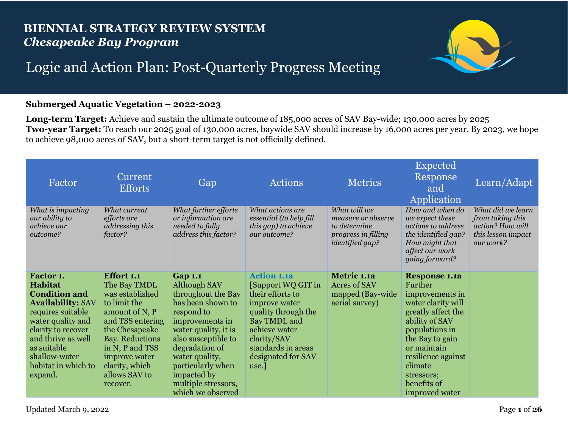## **BIENNIAL STRATEGY REVIEW SYSTEM** *Chesapeake Bay Program*



## Logic and Action Plan: Post-Quarterly Progress Meeting

## **Submerged Aquatic Vegetation – 2022-2023**

**Long-term Target:** Achieve and sustain the ultimate outcome of 185,000 acres of SAV Bay-wide; 130,000 acres by 2025 **Two-year Target:** To reach our 2025 goal of 130,000 acres, baywide SAV should increase by 16,000 acres per year. By 2023, we hope to achieve 98,000 acres of SAV, but a short-term target is not officially defined.

| Factor                                                                                                                                                                                                                                  | Current<br><b>Efforts</b>                                                                                                                                                                                                                 | Gap                                                                                                                                                                                                                                                                           | <b>Actions</b>                                                                                                                                                                                            | <b>Metrics</b>                                                                                      | <b>Expected</b><br>Response<br>and<br>Application                                                                                                                                                                                                    | Learn/Adapt                                                                                  |
|-----------------------------------------------------------------------------------------------------------------------------------------------------------------------------------------------------------------------------------------|-------------------------------------------------------------------------------------------------------------------------------------------------------------------------------------------------------------------------------------------|-------------------------------------------------------------------------------------------------------------------------------------------------------------------------------------------------------------------------------------------------------------------------------|-----------------------------------------------------------------------------------------------------------------------------------------------------------------------------------------------------------|-----------------------------------------------------------------------------------------------------|------------------------------------------------------------------------------------------------------------------------------------------------------------------------------------------------------------------------------------------------------|----------------------------------------------------------------------------------------------|
| What is impacting<br>our ability to<br>achieve our<br>outcome?                                                                                                                                                                          | What current<br>efforts are<br>addressing this<br>factor?                                                                                                                                                                                 | What further efforts<br>or information are<br>needed to fully<br>address this factor?                                                                                                                                                                                         | What actions are<br>essential (to help fill<br>this gap) to achieve<br>our outcome?                                                                                                                       | What will we<br>measure or observe<br>to determine<br>progress in filling<br><i>identified gap?</i> | How and when do<br>we expect these<br>actions to address<br>the identified gap?<br>How might that<br>affect our work<br>going forward?                                                                                                               | What did we learn<br>from taking this<br>action? How will<br>this lesson impact<br>our work? |
| Factor 1.<br><b>Habitat</b><br><b>Condition and</b><br><b>Availability: SAV</b><br>requires suitable<br>water quality and<br>clarity to recover<br>and thrive as well<br>as suitable<br>shallow-water<br>habitat in which to<br>expand. | <b>Effort 1.1</b><br>The Bay TMDL<br>was established<br>to limit the<br>amount of N, P<br>and TSS entering<br>the Chesapeake<br><b>Bay. Reductions</b><br>in N, P and TSS<br>improve water<br>clarity, which<br>allows SAV to<br>recover. | <b>Gap 1.1</b><br>Although SAV<br>throughout the Bay<br>has been shown to<br>respond to<br>improvements in<br>water quality, it is<br>also susceptible to<br>degradation of<br>water quality,<br>particularly when<br>impacted by<br>multiple stressors,<br>which we observed | <b>Action 1.1a</b><br>[Support WQ GIT in<br>their efforts to<br>improve water<br>quality through the<br>Bay TMDL and<br>achieve water<br>clarity/SAV<br>standards in areas<br>designated for SAV<br>use.] | Metric 1.1a<br><b>Acres of SAV</b><br>mapped (Bay-wide)<br>aerial survey)                           | <b>Response 1.1a</b><br>Further<br>improvements in<br>water clarity will<br>greatly affect the<br>ability of SAV<br>populations in<br>the Bay to gain<br>or maintain<br>resilience against<br>climate<br>stressors;<br>benefits of<br>improved water |                                                                                              |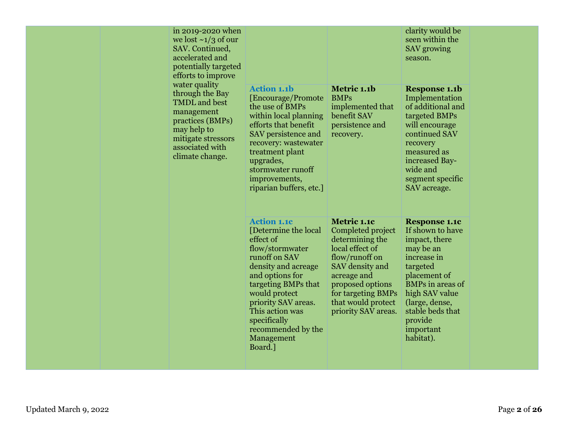| in 2019-2020 when<br>we lost $\sim 1/3$ of our<br>SAV. Continued,<br>accelerated and<br>potentially targeted<br>efforts to improve<br>water quality<br>through the Bay<br><b>TMDL</b> and best<br>management<br>practices (BMPs)<br>may help to<br>mitigate stressors<br>associated with<br>climate change. | <b>Action 1.1b</b><br>[Encourage/Promote]<br>the use of BMPs<br>within local planning<br>efforts that benefit<br>SAV persistence and<br>recovery: wastewater<br>treatment plant<br>upgrades,<br>stormwater runoff<br>improvements,<br>riparian buffers, etc.]                           | Metric 1.1b<br><b>BMPs</b><br>implemented that<br>benefit SAV<br>persistence and<br>recovery.                                                                                                                     | clarity would be<br>seen within the<br>SAV growing<br>season.<br><b>Response 1.1b</b><br>Implementation<br>of additional and<br>targeted BMPs<br>will encourage<br>continued SAV<br>recovery<br>measured as<br>increased Bay-<br>wide and<br>segment specific<br>SAV acreage. |
|-------------------------------------------------------------------------------------------------------------------------------------------------------------------------------------------------------------------------------------------------------------------------------------------------------------|-----------------------------------------------------------------------------------------------------------------------------------------------------------------------------------------------------------------------------------------------------------------------------------------|-------------------------------------------------------------------------------------------------------------------------------------------------------------------------------------------------------------------|-------------------------------------------------------------------------------------------------------------------------------------------------------------------------------------------------------------------------------------------------------------------------------|
|                                                                                                                                                                                                                                                                                                             | <b>Action 1.1c</b><br>[Determine the local]<br>effect of<br>flow/stormwater<br>runoff on SAV<br>density and acreage<br>and options for<br>targeting BMPs that<br>would protect<br>priority SAV areas.<br>This action was<br>specifically<br>recommended by the<br>Management<br>Board.] | Metric 1.1c<br>Completed project<br>determining the<br>local effect of<br>flow/runoff on<br>SAV density and<br>acreage and<br>proposed options<br>for targeting BMPs<br>that would protect<br>priority SAV areas. | <b>Response 1.1c</b><br>If shown to have<br>impact, there<br>may be an<br>increase in<br>targeted<br>placement of<br><b>BMPs</b> in areas of<br>high SAV value<br>(large, dense,<br>stable beds that<br>provide<br>important<br>habitat).                                     |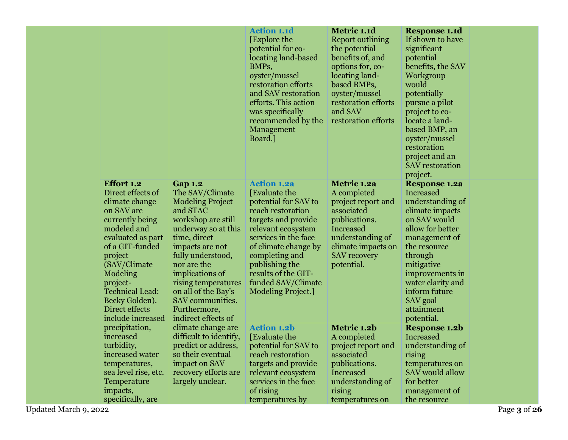|                                                                                                                                                                                                                                                                                         |                                                                                                                                                                                                                                                                                                                          | <b>Action 1.1d</b><br>[Explore the<br>potential for co-<br>locating land-based<br>BMPs,<br>oyster/mussel<br>restoration efforts<br>and SAV restoration<br>efforts. This action<br>was specifically<br>recommended by the<br>Management<br>Board.]                                   | Metric 1.1d<br><b>Report outlining</b><br>the potential<br>benefits of, and<br>options for, co-<br>locating land-<br>based BMPs,<br>oyster/mussel<br>restoration efforts<br>and SAV<br>restoration efforts | <b>Response 1.1d</b><br>If shown to have<br>significant<br>potential<br>benefits, the SAV<br>Workgroup<br>would<br>potentially<br>pursue a pilot<br>project to co-<br>locate a land-<br>based BMP, an<br>oyster/mussel<br>restoration<br>project and an<br><b>SAV</b> restoration<br>project. |  |
|-----------------------------------------------------------------------------------------------------------------------------------------------------------------------------------------------------------------------------------------------------------------------------------------|--------------------------------------------------------------------------------------------------------------------------------------------------------------------------------------------------------------------------------------------------------------------------------------------------------------------------|-------------------------------------------------------------------------------------------------------------------------------------------------------------------------------------------------------------------------------------------------------------------------------------|------------------------------------------------------------------------------------------------------------------------------------------------------------------------------------------------------------|-----------------------------------------------------------------------------------------------------------------------------------------------------------------------------------------------------------------------------------------------------------------------------------------------|--|
| <b>Effort 1.2</b><br>Direct effects of<br>climate change<br>on SAV are<br>currently being<br>modeled and<br>evaluated as part<br>of a GIT-funded<br>project<br>(SAV/Climate)<br>Modeling<br>project-<br><b>Technical Lead:</b><br>Becky Golden).<br>Direct effects<br>include increased | <b>Gap 1.2</b><br>The SAV/Climate<br><b>Modeling Project</b><br>and STAC<br>workshop are still<br>underway so at this<br>time, direct<br>impacts are not<br>fully understood,<br>nor are the<br>implications of<br>rising temperatures<br>on all of the Bay's<br>SAV communities.<br>Furthermore,<br>indirect effects of | <b>Action 1.2a</b><br>[Evaluate the<br>potential for SAV to<br>reach restoration<br>targets and provide<br>relevant ecosystem<br>services in the face<br>of climate change by<br>completing and<br>publishing the<br>results of the GIT-<br>funded SAV/Climate<br>Modeling Project. | Metric 1.2a<br>A completed<br>project report and<br>associated<br>publications.<br>Increased<br>understanding of<br>climate impacts on<br><b>SAV</b> recovery<br>potential.                                | <b>Response 1.2a</b><br>Increased<br>understanding of<br>climate impacts<br>on SAV would<br>allow for better<br>management of<br>the resource<br>through<br>mitigative<br>improvements in<br>water clarity and<br>inform future<br>SAV goal<br>attainment<br>potential.                       |  |
| precipitation,<br>increased<br>turbidity,<br>increased water<br>temperatures,<br>sea level rise, etc.<br>Temperature<br>impacts,<br>specifically, are                                                                                                                                   | climate change are<br>difficult to identify,<br>predict or address.<br>so their eventual<br>impact on SAV<br>recovery efforts are<br>largely unclear.                                                                                                                                                                    | <b>Action 1.2b</b><br>[Evaluate the<br>potential for SAV to<br>reach restoration<br>targets and provide<br>relevant ecosystem<br>services in the face<br>of rising<br>temperatures by                                                                                               | Metric 1.2b<br>A completed<br>project report and<br>associated<br>publications.<br>Increased<br>understanding of<br>rising<br>temperatures on                                                              | <b>Response 1.2b</b><br><b>Increased</b><br>understanding of<br>rising<br>temperatures on<br>SAV would allow<br>for better<br>management of<br>the resource                                                                                                                                   |  |

Updated March 9, 2022 Page **3** of **26**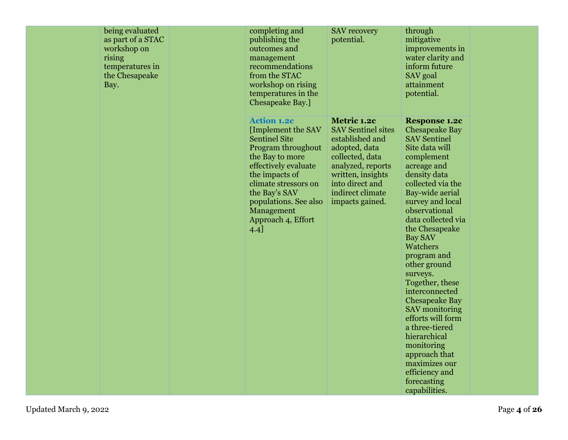| being evaluated<br>as part of a STAC<br>workshop on<br>rising<br>temperatures in<br>the Chesapeake<br>Bay. | completing and<br>publishing the<br>outcomes and<br>management<br>recommendations<br>from the STAC<br>workshop on rising<br>temperatures in the<br>Chesapeake Bay.]                                                                                               | <b>SAV</b> recovery<br>potential.                                                                                                                                                                   | through<br>mitigative<br>improvements in<br>water clarity and<br>inform future<br>SAV goal<br>attainment<br>potential.                                                                                                                                                                                                                                                                                                                                                                                                                                                            |  |
|------------------------------------------------------------------------------------------------------------|-------------------------------------------------------------------------------------------------------------------------------------------------------------------------------------------------------------------------------------------------------------------|-----------------------------------------------------------------------------------------------------------------------------------------------------------------------------------------------------|-----------------------------------------------------------------------------------------------------------------------------------------------------------------------------------------------------------------------------------------------------------------------------------------------------------------------------------------------------------------------------------------------------------------------------------------------------------------------------------------------------------------------------------------------------------------------------------|--|
|                                                                                                            | <b>Action 1.2c</b><br>[Implement the SAV<br><b>Sentinel Site</b><br>Program throughout<br>the Bay to more<br>effectively evaluate<br>the impacts of<br>climate stressors on<br>the Bay's SAV<br>populations. See also<br>Management<br>Approach 4, Effort<br>4.4] | Metric 1.2c<br><b>SAV</b> Sentinel sites<br>established and<br>adopted, data<br>collected, data<br>analyzed, reports<br>written, insights<br>into direct and<br>indirect climate<br>impacts gained. | <b>Response 1.2c</b><br><b>Chesapeake Bay</b><br><b>SAV Sentinel</b><br>Site data will<br>complement<br>acreage and<br>density data<br>collected via the<br>Bay-wide aerial<br>survey and local<br>observational<br>data collected via<br>the Chesapeake<br><b>Bay SAV</b><br>Watchers<br>program and<br>other ground<br>surveys.<br>Together, these<br>interconnected<br><b>Chesapeake Bay</b><br><b>SAV</b> monitoring<br>efforts will form<br>a three-tiered<br>hierarchical<br>monitoring<br>approach that<br>maximizes our<br>efficiency and<br>forecasting<br>capabilities. |  |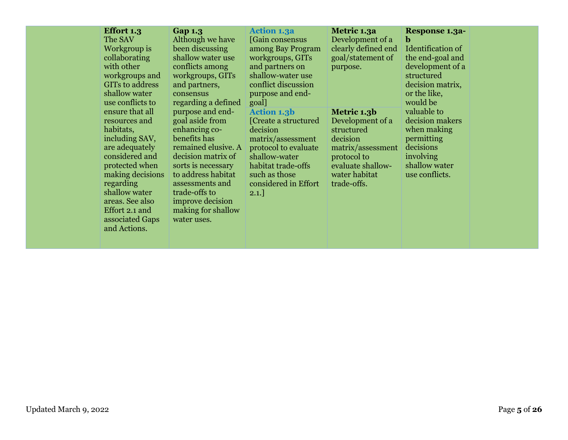| <b>Effort 1.3</b><br>The SAV<br>Workgroup is<br>collaborating<br>with other<br>workgroups and<br>GITs to address<br>shallow water<br>use conflicts to                                                                                           | <b>Gap 1.3</b><br>Although we have<br>been discussing<br>shallow water use<br>conflicts among<br>workgroups, GITs<br>and partners,<br>consensus<br>regarding a defined                                                                                     | <b>Action 1.3a</b><br>[Gain consensus]<br>among Bay Program<br>workgroups, GITs<br>and partners on<br>shallow-water use<br>conflict discussion<br>purpose and end-<br>goal]                  | Metric 1.3a<br>Development of a<br>clearly defined end<br>goal/statement of<br>purpose.                                                            | <b>Response 1.3a-</b><br>b<br>Identification of<br>the end-goal and<br>development of a<br>structured<br>decision matrix,<br>or the like,<br>would be |  |
|-------------------------------------------------------------------------------------------------------------------------------------------------------------------------------------------------------------------------------------------------|------------------------------------------------------------------------------------------------------------------------------------------------------------------------------------------------------------------------------------------------------------|----------------------------------------------------------------------------------------------------------------------------------------------------------------------------------------------|----------------------------------------------------------------------------------------------------------------------------------------------------|-------------------------------------------------------------------------------------------------------------------------------------------------------|--|
| ensure that all<br>resources and<br>habitats,<br>including SAV,<br>are adequately<br>considered and<br>protected when<br>making decisions<br>regarding<br>shallow water<br>areas. See also<br>Effort 2.1 and<br>associated Gaps<br>and Actions. | purpose and end-<br>goal aside from<br>enhancing co-<br>benefits has<br>remained elusive. A<br>decision matrix of<br>sorts is necessary<br>to address habitat<br>assessments and<br>trade-offs to<br>improve decision<br>making for shallow<br>water uses. | <b>Action 1.3b</b><br>[Create a structured]<br>decision<br>matrix/assessment<br>protocol to evaluate<br>shallow-water<br>habitat trade-offs<br>such as those<br>considered in Effort<br>2.1. | Metric 1.3b<br>Development of a<br>structured<br>decision<br>matrix/assessment<br>protocol to<br>evaluate shallow-<br>water habitat<br>trade-offs. | valuable to<br>decision makers<br>when making<br>permitting<br>decisions<br>involving<br>shallow water<br>use conflicts.                              |  |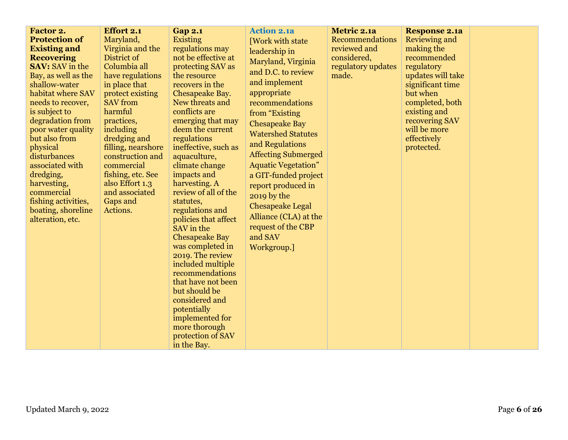| Factor 2.              | <b>Effort 2.1</b>  | <b>Gap 2.1</b>                       | <b>Action 2.1a</b>         | Metric 2.1a            | <b>Response 2.1a</b> |  |
|------------------------|--------------------|--------------------------------------|----------------------------|------------------------|----------------------|--|
| <b>Protection of</b>   | Maryland,          | Existing                             | [Work with state           | <b>Recommendations</b> | Reviewing and        |  |
| <b>Existing and</b>    | Virginia and the   | regulations may                      | leadership in              | reviewed and           | making the           |  |
| <b>Recovering</b>      | District of        | not be effective at                  | Maryland, Virginia         | considered,            | recommended          |  |
| <b>SAV:</b> SAV in the | Columbia all       | protecting SAV as                    |                            | regulatory updates     | regulatory           |  |
| Bay, as well as the    | have regulations   | the resource                         | and D.C. to review         | made.                  | updates will take    |  |
| shallow-water          | in place that      | recovers in the                      | and implement              |                        | significant time     |  |
| habitat where SAV      | protect existing   | Chesapeake Bay.                      | appropriate                |                        | but when             |  |
| needs to recover,      | <b>SAV</b> from    | New threats and                      | recommendations            |                        | completed, both      |  |
| is subject to          | harmful            | conflicts are                        | from "Existing             |                        | existing and         |  |
| degradation from       | practices,         | emerging that may                    | <b>Chesapeake Bay</b>      |                        | recovering SAV       |  |
| poor water quality     | including          | deem the current                     | <b>Watershed Statutes</b>  |                        | will be more         |  |
| but also from          | dredging and       | regulations                          | and Regulations            |                        | effectively          |  |
| physical               | filling, nearshore | ineffective, such as                 |                            |                        | protected.           |  |
| disturbances           | construction and   | aquaculture,                         | <b>Affecting Submerged</b> |                        |                      |  |
| associated with        | commercial         | climate change                       | <b>Aquatic Vegetation"</b> |                        |                      |  |
| dredging,              | fishing, etc. See  | impacts and                          | a GIT-funded project       |                        |                      |  |
| harvesting,            | also Effort 1.3    | harvesting. A                        | report produced in         |                        |                      |  |
| commercial             | and associated     | review of all of the                 | 2019 by the                |                        |                      |  |
| fishing activities,    | Gaps and           | statutes,                            | <b>Chesapeake Legal</b>    |                        |                      |  |
| boating, shoreline     | Actions.           | regulations and                      | Alliance (CLA) at the      |                        |                      |  |
| alteration, etc.       |                    | policies that affect                 | request of the CBP         |                        |                      |  |
|                        |                    | SAV in the                           | and SAV                    |                        |                      |  |
|                        |                    | <b>Chesapeake Bay</b>                |                            |                        |                      |  |
|                        |                    | was completed in<br>2019. The review | Workgroup.]                |                        |                      |  |
|                        |                    | included multiple                    |                            |                        |                      |  |
|                        |                    | recommendations                      |                            |                        |                      |  |
|                        |                    | that have not been                   |                            |                        |                      |  |
|                        |                    | but should be                        |                            |                        |                      |  |
|                        |                    | considered and                       |                            |                        |                      |  |
|                        |                    | potentially                          |                            |                        |                      |  |
|                        |                    | implemented for                      |                            |                        |                      |  |
|                        |                    | more thorough                        |                            |                        |                      |  |
|                        |                    | protection of SAV                    |                            |                        |                      |  |
|                        |                    | in the Bay.                          |                            |                        |                      |  |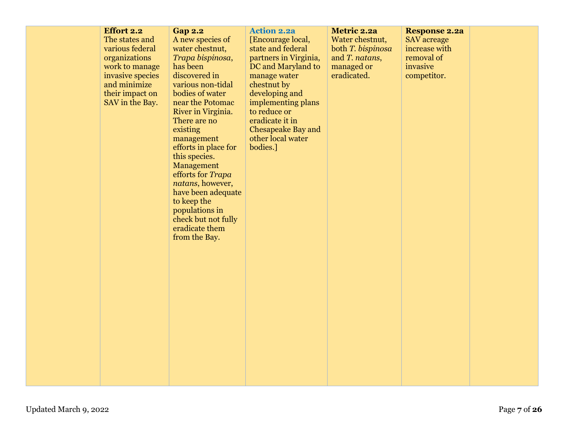| <b>Effort 2.2</b> | <b>Gap 2.2</b>                | <b>Action 2.2a</b>    | Metric 2.2a       | <b>Response 2.2a</b> |  |
|-------------------|-------------------------------|-----------------------|-------------------|----------------------|--|
| The states and    | A new species of              | [Encourage local,     | Water chestnut,   | <b>SAV</b> acreage   |  |
| various federal   | water chestnut,               | state and federal     | both T. bispinosa | increase with        |  |
| organizations     | Trapa bispinosa,              | partners in Virginia, | and T. natans,    | removal of           |  |
| work to manage    | has been                      | DC and Maryland to    | managed or        | invasive             |  |
| invasive species  | discovered in                 | manage water          | eradicated.       | competitor.          |  |
| and minimize      | various non-tidal             | chestnut by           |                   |                      |  |
| their impact on   | bodies of water               | developing and        |                   |                      |  |
| SAV in the Bay.   | near the Potomac              | implementing plans    |                   |                      |  |
|                   | River in Virginia.            | to reduce or          |                   |                      |  |
|                   | There are no                  | eradicate it in       |                   |                      |  |
|                   | existing                      | Chesapeake Bay and    |                   |                      |  |
|                   | management                    | other local water     |                   |                      |  |
|                   | efforts in place for          | bodies.]              |                   |                      |  |
|                   | this species.                 |                       |                   |                      |  |
|                   | Management                    |                       |                   |                      |  |
|                   | efforts for Trapa             |                       |                   |                      |  |
|                   | natans, however,              |                       |                   |                      |  |
|                   | have been adequate            |                       |                   |                      |  |
|                   | to keep the<br>populations in |                       |                   |                      |  |
|                   | check but not fully           |                       |                   |                      |  |
|                   | eradicate them                |                       |                   |                      |  |
|                   | from the Bay.                 |                       |                   |                      |  |
|                   |                               |                       |                   |                      |  |
|                   |                               |                       |                   |                      |  |
|                   |                               |                       |                   |                      |  |
|                   |                               |                       |                   |                      |  |
|                   |                               |                       |                   |                      |  |
|                   |                               |                       |                   |                      |  |
|                   |                               |                       |                   |                      |  |
|                   |                               |                       |                   |                      |  |
|                   |                               |                       |                   |                      |  |
|                   |                               |                       |                   |                      |  |
|                   |                               |                       |                   |                      |  |
|                   |                               |                       |                   |                      |  |
|                   |                               |                       |                   |                      |  |
|                   |                               |                       |                   |                      |  |
|                   |                               |                       |                   |                      |  |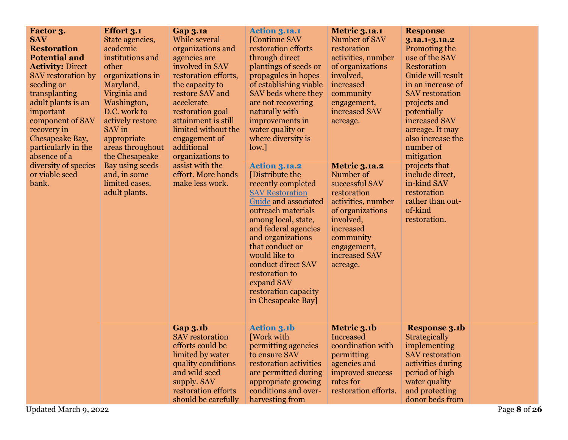| Factor 3.<br><b>SAV</b><br><b>Restoration</b><br><b>Potential and</b><br><b>Activity: Direct</b><br>SAV restoration by<br>seeding or<br>transplanting<br>adult plants is an<br>important<br>component of SAV<br>recovery in<br>Chesapeake Bay,<br>particularly in the<br>absence of a<br>diversity of species<br>or viable seed<br>bank. | <b>Effort 3.1</b><br>State agencies,<br>academic<br>institutions and<br>other<br>organizations in<br>Maryland,<br>Virginia and<br>Washington,<br>D.C. work to<br>actively restore<br>SAV in<br>appropriate<br>areas throughout<br>the Chesapeake<br>Bay using seeds<br>and, in some<br>limited cases,<br>adult plants. | <b>Gap 3.1a</b><br>While several<br>organizations and<br>agencies are<br>involved in SAV<br>restoration efforts,<br>the capacity to<br>restore SAV and<br>accelerate<br>restoration goal<br>attainment is still<br>limited without the<br>engagement of<br>additional<br>organizations to<br>assist with the<br>effort. More hands<br>make less work. | <b>Action 3.1a.1</b><br>[Continue SAV<br>restoration efforts<br>through direct<br>plantings of seeds or<br>propagules in hopes<br>of establishing viable<br>SAV beds where they<br>are not recovering<br>naturally with<br>improvements in<br>water quality or<br>where diversity is<br>low.]<br><b>Action 3.1a.2</b><br>[Distribute the<br>recently completed<br><b>SAV Restoration</b><br>Guide and associated<br>outreach materials<br>among local, state,<br>and federal agencies<br>and organizations<br>that conduct or<br>would like to<br>conduct direct SAV<br>restoration to<br>expand SAV<br>restoration capacity<br>in Chesapeake Bay] | <b>Metric 3.1a.1</b><br>Number of SAV<br>restoration<br>activities, number<br>of organizations<br>involved,<br>increased<br>community<br>engagement,<br>increased SAV<br>acreage.<br><b>Metric 3.1a.2</b><br>Number of<br>successful SAV<br>restoration<br>activities, number<br>of organizations<br>involved,<br>increased<br>community<br>engagement,<br>increased SAV<br>acreage. | <b>Response</b><br>3.1a.1-3.1a.2<br>Promoting the<br>use of the SAV<br>Restoration<br>Guide will result<br>in an increase of<br><b>SAV</b> restoration<br>projects and<br>potentially<br>increased SAV<br>acreage. It may<br>also increase the<br>number of<br>mitigation<br>projects that<br>include direct,<br>in-kind SAV<br>restoration<br>rather than out-<br>of-kind<br>restoration. |              |
|------------------------------------------------------------------------------------------------------------------------------------------------------------------------------------------------------------------------------------------------------------------------------------------------------------------------------------------|------------------------------------------------------------------------------------------------------------------------------------------------------------------------------------------------------------------------------------------------------------------------------------------------------------------------|-------------------------------------------------------------------------------------------------------------------------------------------------------------------------------------------------------------------------------------------------------------------------------------------------------------------------------------------------------|----------------------------------------------------------------------------------------------------------------------------------------------------------------------------------------------------------------------------------------------------------------------------------------------------------------------------------------------------------------------------------------------------------------------------------------------------------------------------------------------------------------------------------------------------------------------------------------------------------------------------------------------------|--------------------------------------------------------------------------------------------------------------------------------------------------------------------------------------------------------------------------------------------------------------------------------------------------------------------------------------------------------------------------------------|--------------------------------------------------------------------------------------------------------------------------------------------------------------------------------------------------------------------------------------------------------------------------------------------------------------------------------------------------------------------------------------------|--------------|
|                                                                                                                                                                                                                                                                                                                                          |                                                                                                                                                                                                                                                                                                                        | <b>Gap 3.1b</b><br><b>SAV</b> restoration<br>efforts could be<br>limited by water<br>quality conditions<br>and wild seed<br>supply. SAV<br>restoration efforts<br>should be carefully                                                                                                                                                                 | <b>Action 3.1b</b><br>[Work with<br>permitting agencies<br>to ensure SAV<br>restoration activities<br>are permitted during<br>appropriate growing<br>conditions and over-<br>harvesting from                                                                                                                                                                                                                                                                                                                                                                                                                                                       | Metric 3.1b<br>Increased<br>coordination with<br>permitting<br>agencies and<br>improved success<br>rates for<br>restoration efforts.                                                                                                                                                                                                                                                 | <b>Response 3.1b</b><br>Strategically<br>implementing<br><b>SAV</b> restoration<br>activities during<br>period of high<br>water quality<br>and protecting<br>donor beds from                                                                                                                                                                                                               |              |
| Updated March 9, 2022                                                                                                                                                                                                                                                                                                                    |                                                                                                                                                                                                                                                                                                                        |                                                                                                                                                                                                                                                                                                                                                       |                                                                                                                                                                                                                                                                                                                                                                                                                                                                                                                                                                                                                                                    |                                                                                                                                                                                                                                                                                                                                                                                      |                                                                                                                                                                                                                                                                                                                                                                                            | Page 8 of 26 |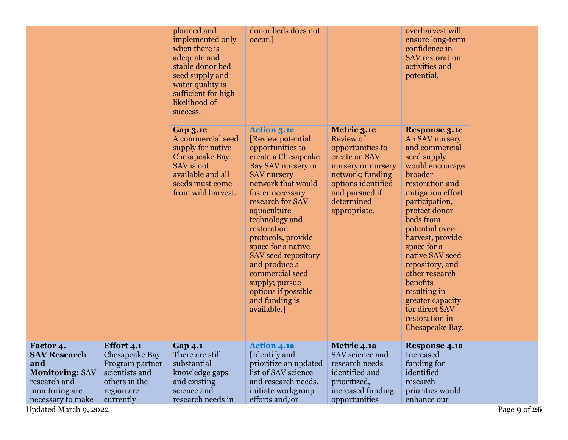|                                        |                                     | planned and<br>implemented only<br>when there is<br>adequate and<br>stable donor bed<br>seed supply and<br>water quality is<br>sufficient for high<br>likelihood of<br>success. | donor beds does not<br>occur.]                                                                                                                                                                                                                                                                                                                                                                                                 |                                                                                                                                                                                      | overharvest will<br>ensure long-term<br>confidence in<br><b>SAV</b> restoration<br>activities and<br>potential.                                                                                                                                                                                                                                                                                                    |              |
|----------------------------------------|-------------------------------------|---------------------------------------------------------------------------------------------------------------------------------------------------------------------------------|--------------------------------------------------------------------------------------------------------------------------------------------------------------------------------------------------------------------------------------------------------------------------------------------------------------------------------------------------------------------------------------------------------------------------------|--------------------------------------------------------------------------------------------------------------------------------------------------------------------------------------|--------------------------------------------------------------------------------------------------------------------------------------------------------------------------------------------------------------------------------------------------------------------------------------------------------------------------------------------------------------------------------------------------------------------|--------------|
|                                        |                                     | <b>Gap 3.1c</b><br>A commercial seed<br>supply for native<br><b>Chesapeake Bay</b><br>SAV is not<br>available and all<br>seeds must come<br>from wild harvest.                  | <b>Action 3.1c</b><br>[Review potential]<br>opportunities to<br>create a Chesapeake<br>Bay SAV nursery or<br><b>SAV</b> nursery<br>network that would<br>foster necessary<br>research for SAV<br>aquaculture<br>technology and<br>restoration<br>protocols, provide<br>space for a native<br>SAV seed repository<br>and produce a<br>commercial seed<br>supply; pursue<br>options if possible<br>and funding is<br>available.] | Metric 3.1c<br><b>Review of</b><br>opportunities to<br>create an SAV<br>nursery or nursery<br>network; funding<br>options identified<br>and pursued if<br>determined<br>appropriate. | <b>Response 3.1c</b><br>An SAV nursery<br>and commercial<br>seed supply<br>would encourage<br>broader<br>restoration and<br>mitigation effort<br>participation,<br>protect donor<br>beds from<br>potential over-<br>harvest, provide<br>space for a<br>native SAV seed<br>repository, and<br>other research<br>benefits<br>resulting in<br>greater capacity<br>for direct SAV<br>restoration in<br>Chesapeake Bay. |              |
| Factor 4.<br><b>SAV Research</b>       | <b>Effort 4.1</b><br>Chesapeake Bay | <b>Gap 4.1</b><br>There are still                                                                                                                                               | <b>Action 4.1a</b><br>[Identify and                                                                                                                                                                                                                                                                                                                                                                                            | Metric 4.1a<br>SAV science and                                                                                                                                                       | <b>Response 4.1a</b><br>Increased                                                                                                                                                                                                                                                                                                                                                                                  |              |
| and                                    | Program partner                     | substantial                                                                                                                                                                     | prioritize an updated                                                                                                                                                                                                                                                                                                                                                                                                          | research needs                                                                                                                                                                       | funding for                                                                                                                                                                                                                                                                                                                                                                                                        |              |
| <b>Monitoring: SAV</b><br>research and | scientists and<br>others in the     | knowledge gaps<br>and existing                                                                                                                                                  | list of SAV science<br>and research needs,                                                                                                                                                                                                                                                                                                                                                                                     | identified and<br>prioritized,                                                                                                                                                       | identified<br>research                                                                                                                                                                                                                                                                                                                                                                                             |              |
| monitoring are<br>necessary to make    | region are<br>currently             | science and<br>research needs in                                                                                                                                                | initiate workgroup<br>efforts and/or                                                                                                                                                                                                                                                                                                                                                                                           | increased funding<br>opportunities                                                                                                                                                   | priorities would<br>enhance our                                                                                                                                                                                                                                                                                                                                                                                    |              |
| Updated March 9, 2022                  |                                     |                                                                                                                                                                                 |                                                                                                                                                                                                                                                                                                                                                                                                                                |                                                                                                                                                                                      |                                                                                                                                                                                                                                                                                                                                                                                                                    | Page 9 of 26 |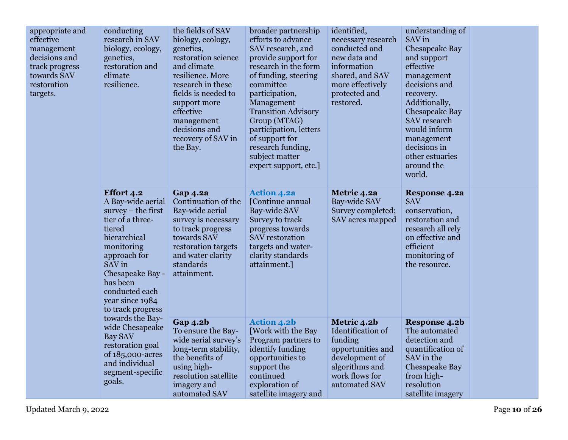| effective<br>management<br>decisions and<br>track progress<br>towards SAV<br>restoration<br>targets. | conducting<br>research in SAV<br>biology, ecology,<br>genetics,<br>restoration and<br>climate<br>resilience.                                                                                                                                   | the fields of SAV<br>biology, ecology,<br>genetics,<br>restoration science<br>and climate<br>resilience. More<br>research in these<br>fields is needed to<br>support more<br>effective<br>management<br>decisions and<br>recovery of SAV in<br>the Bay. | broader partnership<br>efforts to advance<br>SAV research, and<br>provide support for<br>research in the form<br>of funding, steering<br>committee<br>participation,<br>Management<br><b>Transition Advisory</b><br>Group (MTAG)<br>participation, letters<br>of support for<br>research funding,<br>subject matter<br>expert support, etc.] | identified,<br>necessary research<br>conducted and<br>new data and<br>information<br>shared, and SAV<br>more effectively<br>protected and<br>restored. | understanding of<br>SAV in<br>Chesapeake Bay<br>and support<br>effective<br>management<br>decisions and<br>recovery.<br>Additionally,<br>Chesapeake Bay<br><b>SAV</b> research<br>would inform<br>management<br>decisions in<br>other estuaries<br>around the<br>world. |  |
|------------------------------------------------------------------------------------------------------|------------------------------------------------------------------------------------------------------------------------------------------------------------------------------------------------------------------------------------------------|---------------------------------------------------------------------------------------------------------------------------------------------------------------------------------------------------------------------------------------------------------|----------------------------------------------------------------------------------------------------------------------------------------------------------------------------------------------------------------------------------------------------------------------------------------------------------------------------------------------|--------------------------------------------------------------------------------------------------------------------------------------------------------|-------------------------------------------------------------------------------------------------------------------------------------------------------------------------------------------------------------------------------------------------------------------------|--|
|                                                                                                      | <b>Effort 4.2</b><br>A Bay-wide aerial<br>$survey - the first$<br>tier of a three-<br>tiered<br>hierarchical<br>monitoring<br>approach for<br>SAV in<br>Chesapeake Bay -<br>has been<br>conducted each<br>year since 1984<br>to track progress | <b>Gap 4.2a</b><br>Continuation of the<br>Bay-wide aerial<br>survey is necessary<br>to track progress<br>towards SAV<br>restoration targets<br>and water clarity<br>standards<br>attainment.                                                            | <b>Action 4.2a</b><br>[Continue annual<br>Bay-wide SAV<br>Survey to track<br>progress towards<br><b>SAV</b> restoration<br>targets and water-<br>clarity standards<br>attainment.]                                                                                                                                                           | Metric 4.2a<br>Bay-wide SAV<br>Survey completed;<br>SAV acres mapped                                                                                   | <b>Response 4.2a</b><br><b>SAV</b><br>conservation,<br>restoration and<br>research all rely<br>on effective and<br>efficient<br>monitoring of<br>the resource.                                                                                                          |  |
|                                                                                                      | towards the Bay-<br>wide Chesapeake<br><b>Bay SAV</b><br>restoration goal<br>of 185,000-acres<br>and individual<br>segment-specific<br>goals.                                                                                                  | <b>Gap 4.2b</b><br>To ensure the Bay-<br>wide aerial survey's<br>long-term stability,<br>the benefits of<br>using high-<br>resolution satellite<br>imagery and<br>automated SAV                                                                         | <b>Action 4.2b</b><br>[Work with the Bay<br>Program partners to<br>identify funding<br>opportunities to<br>support the<br>continued<br>exploration of<br>satellite imagery and                                                                                                                                                               | Metric 4.2b<br>Identification of<br>funding<br>opportunities and<br>development of<br>algorithms and<br>work flows for<br>automated SAV                | Response 4.2b<br>The automated<br>detection and<br>quantification of<br>SAV in the<br>Chesapeake Bay<br>from high-<br>resolution<br>satellite imagery                                                                                                                   |  |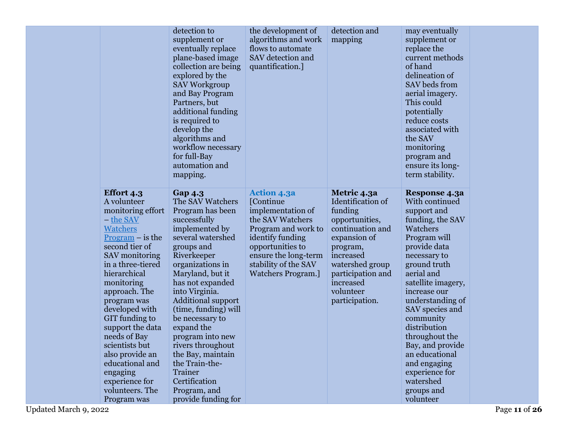|                                                                                                                                                                                                                                                                                                                                                                                                                                    | detection to<br>supplement or<br>eventually replace<br>plane-based image<br>collection are being<br>explored by the<br><b>SAV Workgroup</b><br>and Bay Program<br>Partners, but<br>additional funding<br>is required to<br>develop the<br>algorithms and<br>workflow necessary<br>for full-Bay<br>automation and<br>mapping.                                                                                                                                      | the development of<br>algorithms and work<br>flows to automate<br>SAV detection and<br>quantification.]                                                                                                               | detection and<br>mapping                                                                                                                                                                                       | may eventually<br>supplement or<br>replace the<br>current methods<br>of hand<br>delineation of<br>SAV beds from<br>aerial imagery.<br>This could<br>potentially<br>reduce costs<br>associated with<br>the SAV<br>monitoring<br>program and<br>ensure its long-<br>term stability.                                                                                                                        |
|------------------------------------------------------------------------------------------------------------------------------------------------------------------------------------------------------------------------------------------------------------------------------------------------------------------------------------------------------------------------------------------------------------------------------------|-------------------------------------------------------------------------------------------------------------------------------------------------------------------------------------------------------------------------------------------------------------------------------------------------------------------------------------------------------------------------------------------------------------------------------------------------------------------|-----------------------------------------------------------------------------------------------------------------------------------------------------------------------------------------------------------------------|----------------------------------------------------------------------------------------------------------------------------------------------------------------------------------------------------------------|----------------------------------------------------------------------------------------------------------------------------------------------------------------------------------------------------------------------------------------------------------------------------------------------------------------------------------------------------------------------------------------------------------|
| <b>Effort 4.3</b><br>A volunteer<br>monitoring effort<br>- the SAV<br><b>Watchers</b><br>$Program - is the$<br>second tier of<br>SAV monitoring<br>in a three-tiered<br>hierarchical<br>monitoring<br>approach. The<br>program was<br>developed with<br>GIT funding to<br>support the data<br>needs of Bay<br>scientists but<br>also provide an<br>educational and<br>engaging<br>experience for<br>volunteers. The<br>Program was | <b>Gap 4.3</b><br>The SAV Watchers<br>Program has been<br>successfully<br>implemented by<br>several watershed<br>groups and<br>Riverkeeper<br>organizations in<br>Maryland, but it<br>has not expanded<br>into Virginia.<br><b>Additional support</b><br>(time, funding) will<br>be necessary to<br>expand the<br>program into new<br>rivers throughout<br>the Bay, maintain<br>the Train-the-<br>Trainer<br>Certification<br>Program, and<br>provide funding for | <b>Action 4.3a</b><br>[Continue<br>implementation of<br>the SAV Watchers<br>Program and work to<br>identify funding<br>opportunities to<br>ensure the long-term<br>stability of the SAV<br><b>Watchers Program.</b> ] | Metric 4.3a<br>Identification of<br>funding<br>opportunities,<br>continuation and<br>expansion of<br>program,<br>increased<br>watershed group<br>participation and<br>increased<br>volunteer<br>participation. | Response 4.3a<br>With continued<br>support and<br>funding, the SAV<br>Watchers<br>Program will<br>provide data<br>necessary to<br>ground truth<br>aerial and<br>satellite imagery,<br>increase our<br>understanding of<br>SAV species and<br>community<br>distribution<br>throughout the<br>Bay, and provide<br>an educational<br>and engaging<br>experience for<br>watershed<br>groups and<br>volunteer |

Updated March 9, 2022 Page **11** of **26**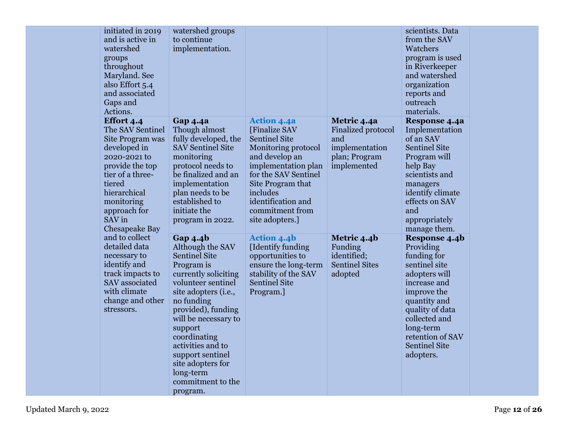| initiated in 2019<br>and is active in<br>watershed<br>groups<br>throughout<br>Maryland. See<br>also Effort 5.4<br>and associated<br>Gaps and<br>Actions.                                                      | watershed groups<br>to continue<br>implementation.                                                                                                                                                                                                                                                                                                 |                                                                                                                                                                                                                                                  |                                                                                                   | scientists. Data<br>from the SAV<br>Watchers<br>program is used<br>in Riverkeeper<br>and watershed<br>organization<br>reports and<br>outreach<br>materials.                                                                          |  |
|---------------------------------------------------------------------------------------------------------------------------------------------------------------------------------------------------------------|----------------------------------------------------------------------------------------------------------------------------------------------------------------------------------------------------------------------------------------------------------------------------------------------------------------------------------------------------|--------------------------------------------------------------------------------------------------------------------------------------------------------------------------------------------------------------------------------------------------|---------------------------------------------------------------------------------------------------|--------------------------------------------------------------------------------------------------------------------------------------------------------------------------------------------------------------------------------------|--|
| Effort 4.4<br>The SAV Sentinel<br>Site Program was<br>developed in<br>2020-2021 to<br>provide the top<br>tier of a three-<br>tiered<br>hierarchical<br>monitoring<br>approach for<br>SAV in<br>Chesapeake Bay | <b>Gap 4.4a</b><br>Though almost<br>fully developed, the<br><b>SAV Sentinel Site</b><br>monitoring<br>protocol needs to<br>be finalized and an<br>implementation<br>plan needs to be<br>established to<br>initiate the<br>program in 2022.                                                                                                         | <b>Action 4.4a</b><br>[Finalize SAV<br><b>Sentinel Site</b><br>Monitoring protocol<br>and develop an<br>implementation plan<br>for the SAV Sentinel<br>Site Program that<br>includes<br>identification and<br>commitment from<br>site adopters.] | Metric 4.4a<br><b>Finalized protocol</b><br>and<br>implementation<br>plan; Program<br>implemented | Response 4.4a<br>Implementation<br>of an SAV<br><b>Sentinel Site</b><br>Program will<br>help Bay<br>scientists and<br>managers<br>identify climate<br>effects on SAV<br>and<br>appropriately<br>manage them.                         |  |
| and to collect<br>detailed data<br>necessary to<br>identify and<br>track impacts to<br>SAV associated<br>with climate<br>change and other<br>stressors.                                                       | <b>Gap 4.4b</b><br>Although the SAV<br><b>Sentinel Site</b><br>Program is<br>currently soliciting<br>volunteer sentinel<br>site adopters (i.e.,<br>no funding<br>provided), funding<br>will be necessary to<br>support<br>coordinating<br>activities and to<br>support sentinel<br>site adopters for<br>long-term<br>commitment to the<br>program. | <b>Action 4.4b</b><br>[Identify funding<br>opportunities to<br>ensure the long-term<br>stability of the SAV<br><b>Sentinel Site</b><br>Program.]                                                                                                 | Metric 4.4b<br>Funding<br>identified;<br><b>Sentinel Sites</b><br>adopted                         | Response 4.4b<br>Providing<br>funding for<br>sentinel site<br>adopters will<br>increase and<br>improve the<br>quantity and<br>quality of data<br>collected and<br>long-term<br>retention of SAV<br><b>Sentinel Site</b><br>adopters. |  |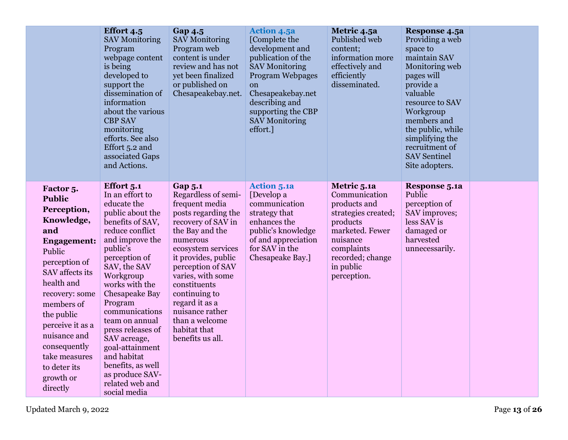|                                                                                                                                                                                                                                                                                                              | <b>Effort 4.5</b><br><b>SAV Monitoring</b><br>Program<br>webpage content<br>is being<br>developed to<br>support the<br>dissemination of<br>information<br>about the various<br><b>CBP SAV</b><br>monitoring<br>efforts. See also<br>Effort 5.2 and<br>associated Gaps<br>and Actions.                                                                                                                                     | <b>Gap 4.5</b><br><b>SAV Monitoring</b><br>Program web<br>content is under<br>review and has not<br>yet been finalized<br>or published on<br>Chesapeakebay.net.                                                                                                                                                                                        | <b>Action 4.5a</b><br>[Complete the<br>development and<br>publication of the<br><b>SAV Monitoring</b><br><b>Program Webpages</b><br><sub>on</sub><br>Chesapeakebay.net<br>describing and<br>supporting the CBP<br><b>SAV Monitoring</b><br>effort.] | Metric 4.5a<br>Published web<br>content;<br>information more<br>effectively and<br>efficiently<br>disseminated.                                                              | Response 4.5a<br>Providing a web<br>space to<br>maintain SAV<br>Monitoring web<br>pages will<br>provide a<br>valuable<br>resource to SAV<br>Workgroup<br>members and<br>the public, while<br>simplifying the<br>recruitment of<br><b>SAV Sentinel</b><br>Site adopters. |  |
|--------------------------------------------------------------------------------------------------------------------------------------------------------------------------------------------------------------------------------------------------------------------------------------------------------------|---------------------------------------------------------------------------------------------------------------------------------------------------------------------------------------------------------------------------------------------------------------------------------------------------------------------------------------------------------------------------------------------------------------------------|--------------------------------------------------------------------------------------------------------------------------------------------------------------------------------------------------------------------------------------------------------------------------------------------------------------------------------------------------------|-----------------------------------------------------------------------------------------------------------------------------------------------------------------------------------------------------------------------------------------------------|------------------------------------------------------------------------------------------------------------------------------------------------------------------------------|-------------------------------------------------------------------------------------------------------------------------------------------------------------------------------------------------------------------------------------------------------------------------|--|
| Factor 5.<br><b>Public</b><br>Perception,<br>Knowledge,<br>and<br><b>Engagement:</b><br>Public<br>perception of<br>SAV affects its<br>health and<br>recovery: some<br>members of<br>the public<br>perceive it as a<br>nuisance and<br>consequently<br>take measures<br>to deter its<br>growth or<br>directly | Effort 5.1<br>In an effort to<br>educate the<br>public about the<br>benefits of SAV,<br>reduce conflict<br>and improve the<br>public's<br>perception of<br>SAV, the SAV<br>Workgroup<br>works with the<br>Chesapeake Bay<br>Program<br>communications<br>team on annual<br>press releases of<br>SAV acreage,<br>goal-attainment<br>and habitat<br>benefits, as well<br>as produce SAV-<br>related web and<br>social media | <b>Gap 5.1</b><br>Regardless of semi-<br>frequent media<br>posts regarding the<br>recovery of SAV in<br>the Bay and the<br>numerous<br>ecosystem services<br>it provides, public<br>perception of SAV<br>varies, with some<br>constituents<br>continuing to<br>regard it as a<br>nuisance rather<br>than a welcome<br>habitat that<br>benefits us all. | <b>Action 5.1a</b><br>[Develop a<br>communication<br>strategy that<br>enhances the<br>public's knowledge<br>of and appreciation<br>for SAV in the<br>Chesapeake Bay.]                                                                               | Metric 5.1a<br>Communication<br>products and<br>strategies created;<br>products<br>marketed. Fewer<br>nuisance<br>complaints<br>recorded; change<br>in public<br>perception. | <b>Response 5.1a</b><br>Public<br>perception of<br>SAV improves;<br>less SAV is<br>damaged or<br>harvested<br>unnecessarily.                                                                                                                                            |  |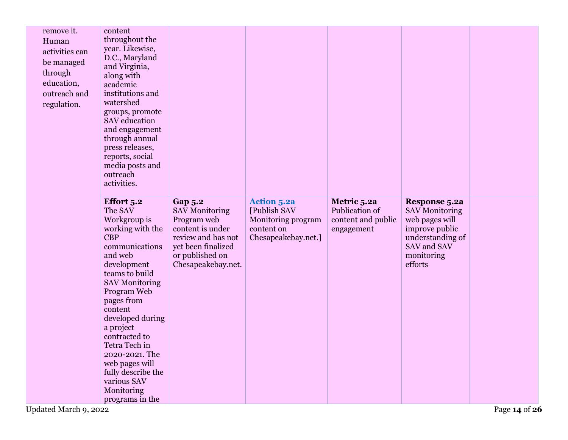| remove it.<br>Human<br>activities can<br>be managed<br>through<br>education,<br>outreach and<br>regulation. | content<br>throughout the<br>year. Likewise,<br>D.C., Maryland<br>and Virginia,<br>along with<br>academic<br>institutions and<br>watershed<br>groups, promote<br>SAV education<br>and engagement<br>through annual<br>press releases,<br>reports, social<br>media posts and<br>outreach<br>activities.                                                                              |                                                                                                                                                                 |                                                                                               |                                                                   |                                                                                                                                               |               |
|-------------------------------------------------------------------------------------------------------------|-------------------------------------------------------------------------------------------------------------------------------------------------------------------------------------------------------------------------------------------------------------------------------------------------------------------------------------------------------------------------------------|-----------------------------------------------------------------------------------------------------------------------------------------------------------------|-----------------------------------------------------------------------------------------------|-------------------------------------------------------------------|-----------------------------------------------------------------------------------------------------------------------------------------------|---------------|
| Updated March 9, 2022                                                                                       | Effort 5.2<br>The SAV<br>Workgroup is<br>working with the<br><b>CBP</b><br>communications<br>and web<br>development<br>teams to build<br><b>SAV Monitoring</b><br>Program Web<br>pages from<br>content<br>developed during<br>a project<br>contracted to<br>Tetra Tech in<br>2020-2021. The<br>web pages will<br>fully describe the<br>various SAV<br>Monitoring<br>programs in the | <b>Gap 5.2</b><br><b>SAV Monitoring</b><br>Program web<br>content is under<br>review and has not<br>yet been finalized<br>or published on<br>Chesapeakebay.net. | <b>Action 5.2a</b><br>[Publish SAV<br>Monitoring program<br>content on<br>Chesapeakebay.net.] | Metric 5.2a<br>Publication of<br>content and public<br>engagement | <b>Response 5.2a</b><br><b>SAV Monitoring</b><br>web pages will<br>improve public<br>understanding of<br>SAV and SAV<br>monitoring<br>efforts | Page 14 of 26 |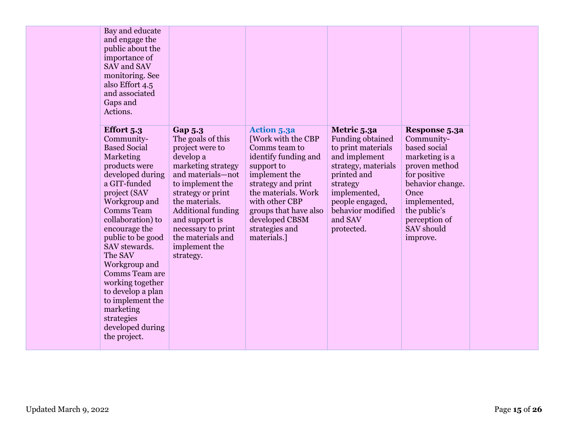| Bay and educate     |                           |                       |                         |                  |
|---------------------|---------------------------|-----------------------|-------------------------|------------------|
| and engage the      |                           |                       |                         |                  |
| public about the    |                           |                       |                         |                  |
| importance of       |                           |                       |                         |                  |
| SAV and SAV         |                           |                       |                         |                  |
| monitoring. See     |                           |                       |                         |                  |
| also Effort 4.5     |                           |                       |                         |                  |
| and associated      |                           |                       |                         |                  |
|                     |                           |                       |                         |                  |
| Gaps and            |                           |                       |                         |                  |
| Actions.            |                           |                       |                         |                  |
| Effort 5.3          | <b>Gap 5.3</b>            | <b>Action 5.3a</b>    | Metric 5.3a             | Response 5.3a    |
| Community-          | The goals of this         | [Work with the CBP    | <b>Funding obtained</b> | Community-       |
| <b>Based Social</b> |                           | Comms team to         | to print materials      | based social     |
|                     | project were to           |                       |                         |                  |
| Marketing           | develop a                 | identify funding and  | and implement           | marketing is a   |
| products were       | marketing strategy        | support to            | strategy, materials     | proven method    |
| developed during    | and materials-not         | implement the         | printed and             | for positive     |
| a GIT-funded        | to implement the          | strategy and print    | strategy                | behavior change. |
| project (SAV        | strategy or print         | the materials. Work   | implemented,            | Once             |
| Workgroup and       | the materials.            | with other CBP        | people engaged,         | implemented,     |
| <b>Comms</b> Team   | <b>Additional funding</b> | groups that have also | behavior modified       | the public's     |
| collaboration) to   | and support is            | developed CBSM        | and SAV                 | perception of    |
| encourage the       | necessary to print        | strategies and        | protected.              | SAV should       |
| public to be good   | the materials and         | materials.]           |                         | improve.         |
| SAV stewards.       | implement the             |                       |                         |                  |
| The SAV             | strategy.                 |                       |                         |                  |
| Workgroup and       |                           |                       |                         |                  |
| Comms Team are      |                           |                       |                         |                  |
|                     |                           |                       |                         |                  |
| working together    |                           |                       |                         |                  |
| to develop a plan   |                           |                       |                         |                  |
| to implement the    |                           |                       |                         |                  |
| marketing           |                           |                       |                         |                  |
| strategies          |                           |                       |                         |                  |
| developed during    |                           |                       |                         |                  |
| the project.        |                           |                       |                         |                  |
|                     |                           |                       |                         |                  |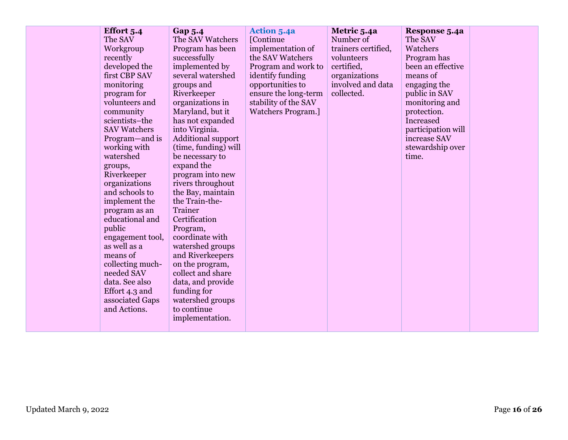| Effort 5.4<br>The SAV<br>Workgroup<br>recently<br>developed the<br>first CBP SAV<br>monitoring<br>program for<br>volunteers and<br>community<br>scientists-the<br><b>SAV Watchers</b><br>Program—and is<br>working with<br>watershed<br>groups,<br>Riverkeeper<br>organizations<br>and schools to<br>implement the<br>program as an<br>educational and<br>public<br>engagement tool,<br>as well as a<br>means of<br>collecting much-<br>needed SAV<br>data. See also<br>Effort 4.3 and<br>associated Gaps<br>and Actions. | <b>Gap 5.4</b><br>The SAV Watchers<br>Program has been<br>successfully<br>implemented by<br>several watershed<br>groups and<br>Riverkeeper<br>organizations in<br>Maryland, but it<br>has not expanded<br>into Virginia.<br><b>Additional support</b><br>(time, funding) will<br>be necessary to<br>expand the<br>program into new<br>rivers throughout<br>the Bay, maintain<br>the Train-the-<br>Trainer<br>Certification<br>Program,<br>coordinate with<br>watershed groups<br>and Riverkeepers<br>on the program,<br>collect and share<br>data, and provide<br>funding for<br>watershed groups<br>to continue<br>implementation. | <b>Action 5.4a</b><br>[Continue<br>implementation of<br>the SAV Watchers<br>Program and work to<br>identify funding<br>opportunities to<br>ensure the long-term<br>stability of the SAV<br><b>Watchers Program.</b> ] | Metric 5.4a<br>Number of<br>trainers certified,<br>volunteers<br>certified,<br>organizations<br>involved and data<br>collected. | Response 5.4a<br>The SAV<br>Watchers<br>Program has<br>been an effective<br>means of<br>engaging the<br>public in SAV<br>monitoring and<br>protection.<br>Increased<br>participation will<br>increase SAV<br>stewardship over<br>time. |  |
|---------------------------------------------------------------------------------------------------------------------------------------------------------------------------------------------------------------------------------------------------------------------------------------------------------------------------------------------------------------------------------------------------------------------------------------------------------------------------------------------------------------------------|-------------------------------------------------------------------------------------------------------------------------------------------------------------------------------------------------------------------------------------------------------------------------------------------------------------------------------------------------------------------------------------------------------------------------------------------------------------------------------------------------------------------------------------------------------------------------------------------------------------------------------------|-----------------------------------------------------------------------------------------------------------------------------------------------------------------------------------------------------------------------|---------------------------------------------------------------------------------------------------------------------------------|----------------------------------------------------------------------------------------------------------------------------------------------------------------------------------------------------------------------------------------|--|
|---------------------------------------------------------------------------------------------------------------------------------------------------------------------------------------------------------------------------------------------------------------------------------------------------------------------------------------------------------------------------------------------------------------------------------------------------------------------------------------------------------------------------|-------------------------------------------------------------------------------------------------------------------------------------------------------------------------------------------------------------------------------------------------------------------------------------------------------------------------------------------------------------------------------------------------------------------------------------------------------------------------------------------------------------------------------------------------------------------------------------------------------------------------------------|-----------------------------------------------------------------------------------------------------------------------------------------------------------------------------------------------------------------------|---------------------------------------------------------------------------------------------------------------------------------|----------------------------------------------------------------------------------------------------------------------------------------------------------------------------------------------------------------------------------------|--|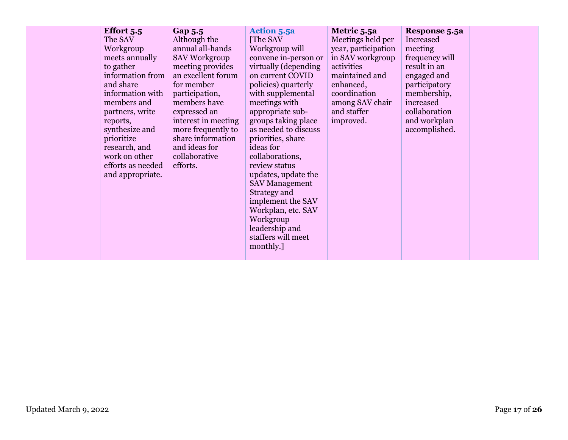| Workgroup<br>leadership and<br>staffers will meet | Effort 5.5<br>The SAV<br>Workgroup<br>meets annually<br>to gather<br>information from<br>and share<br>information with<br>members and<br>partners, write<br>reports,<br>synthesize and<br>prioritize<br>research, and<br>work on other<br>efforts as needed<br>and appropriate. | Gap 5.5<br>Although the<br>annual all-hands<br><b>SAV Workgroup</b><br>meeting provides<br>an excellent forum<br>for member<br>participation,<br>members have<br>expressed an<br>interest in meeting<br>more frequently to<br>share information<br>and ideas for<br>collaborative<br>efforts. | <b>Action 5.5a</b><br>[The SAV]<br>Workgroup will<br>convene in-person or<br>virtually (depending<br>on current COVID<br>policies) quarterly<br>with supplemental<br>meetings with<br>appropriate sub-<br>groups taking place<br>as needed to discuss<br>priorities, share<br>ideas for<br>collaborations,<br>review status<br>updates, update the<br><b>SAV Management</b><br>Strategy and<br>implement the SAV<br>Workplan, etc. SAV | Metric 5.5a<br>Meetings held per<br>year, participation<br>in SAV workgroup<br>activities<br>maintained and<br>enhanced,<br>coordination<br>among SAV chair<br>and staffer<br>improved. | Response 5.5a<br>Increased<br>meeting<br>frequency will<br>result in an<br>engaged and<br>participatory<br>membership,<br>increased<br>collaboration<br>and workplan<br>accomplished. |  |
|---------------------------------------------------|---------------------------------------------------------------------------------------------------------------------------------------------------------------------------------------------------------------------------------------------------------------------------------|-----------------------------------------------------------------------------------------------------------------------------------------------------------------------------------------------------------------------------------------------------------------------------------------------|----------------------------------------------------------------------------------------------------------------------------------------------------------------------------------------------------------------------------------------------------------------------------------------------------------------------------------------------------------------------------------------------------------------------------------------|-----------------------------------------------------------------------------------------------------------------------------------------------------------------------------------------|---------------------------------------------------------------------------------------------------------------------------------------------------------------------------------------|--|
| monthly.                                          |                                                                                                                                                                                                                                                                                 |                                                                                                                                                                                                                                                                                               |                                                                                                                                                                                                                                                                                                                                                                                                                                        |                                                                                                                                                                                         |                                                                                                                                                                                       |  |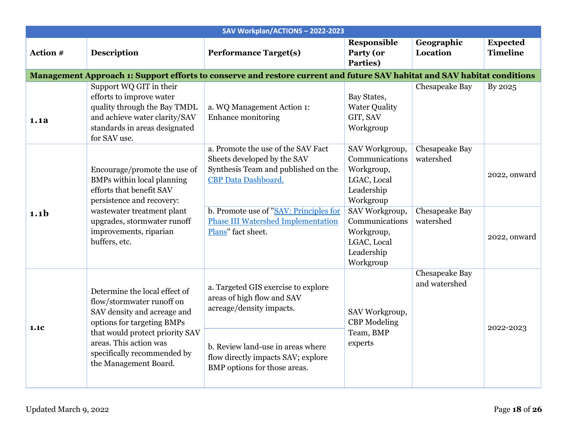|                  |                                                                                                                                                                                                                                              | SAV Workplan/ACTIONS-2022-2023                                                                                                                                                                                                                      |                                                                                                                                                                                      |                                                                   |                                    |
|------------------|----------------------------------------------------------------------------------------------------------------------------------------------------------------------------------------------------------------------------------------------|-----------------------------------------------------------------------------------------------------------------------------------------------------------------------------------------------------------------------------------------------------|--------------------------------------------------------------------------------------------------------------------------------------------------------------------------------------|-------------------------------------------------------------------|------------------------------------|
| Action #         | <b>Description</b>                                                                                                                                                                                                                           | <b>Performance Target(s)</b>                                                                                                                                                                                                                        | <b>Responsible</b><br>Party (or<br>Parties)                                                                                                                                          | Geographic<br>Location                                            | <b>Expected</b><br><b>Timeline</b> |
|                  |                                                                                                                                                                                                                                              | Management Approach 1: Support efforts to conserve and restore current and future SAV habitat and SAV habitat conditions                                                                                                                            |                                                                                                                                                                                      |                                                                   |                                    |
| 1.1a             | Support WQ GIT in their<br>efforts to improve water<br>quality through the Bay TMDL<br>and achieve water clarity/SAV<br>standards in areas designated<br>for SAV use.                                                                        | a. WQ Management Action 1:<br>Enhance monitoring                                                                                                                                                                                                    | Bay States,<br><b>Water Quality</b><br>GIT, SAV<br>Workgroup                                                                                                                         | Chesapeake Bay                                                    | By 2025                            |
| 1.1 <sub>b</sub> | Encourage/promote the use of<br><b>BMPs</b> within local planning<br>efforts that benefit SAV<br>persistence and recovery:<br>wastewater treatment plant<br>upgrades, stormwater runoff<br>improvements, riparian<br>buffers, etc.           | a. Promote the use of the SAV Fact<br>Sheets developed by the SAV<br>Synthesis Team and published on the<br><b>CBP</b> Data Dashboard.<br>b. Promote use of "SAV: Principles for<br><b>Phase III Watershed Implementation</b><br>Plans" fact sheet. | SAV Workgroup,<br>Communications<br>Workgroup,<br>LGAC, Local<br>Leadership<br>Workgroup<br>SAV Workgroup,<br>Communications<br>Workgroup,<br>LGAC, Local<br>Leadership<br>Workgroup | <b>Chesapeake Bay</b><br>watershed<br>Chesapeake Bay<br>watershed | 2022, onward<br>2022, onward       |
| 1.1C             | Determine the local effect of<br>flow/stormwater runoff on<br>SAV density and acreage and<br>options for targeting BMPs<br>that would protect priority SAV<br>areas. This action was<br>specifically recommended by<br>the Management Board. | a. Targeted GIS exercise to explore<br>areas of high flow and SAV<br>acreage/density impacts.<br>b. Review land-use in areas where<br>flow directly impacts SAV; explore<br>BMP options for those areas.                                            | SAV Workgroup,<br><b>CBP</b> Modeling<br>Team, BMP<br>experts                                                                                                                        | Chesapeake Bay<br>and watershed                                   | 2022-2023                          |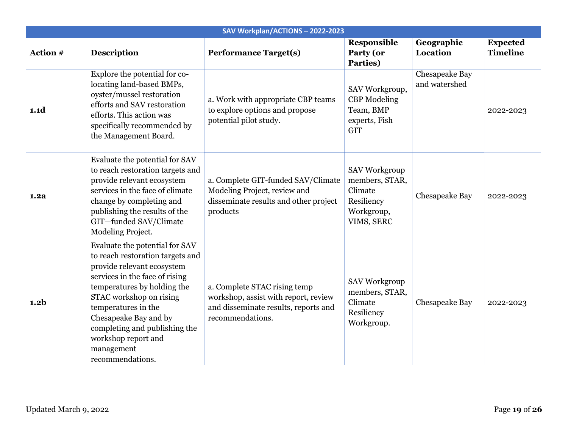|                  |                                                                                                                                                                                                                                                                                                                                        | SAV Workplan/ACTIONS-2022-2023                                                                                                   |                                                                                      |                                        |                                    |
|------------------|----------------------------------------------------------------------------------------------------------------------------------------------------------------------------------------------------------------------------------------------------------------------------------------------------------------------------------------|----------------------------------------------------------------------------------------------------------------------------------|--------------------------------------------------------------------------------------|----------------------------------------|------------------------------------|
| Action #         | <b>Description</b>                                                                                                                                                                                                                                                                                                                     | <b>Performance Target(s)</b>                                                                                                     | Responsible<br>Party (or<br>Parties)                                                 | Geographic<br>Location                 | <b>Expected</b><br><b>Timeline</b> |
| 1.1d             | Explore the potential for co-<br>locating land-based BMPs,<br>oyster/mussel restoration<br>efforts and SAV restoration<br>efforts. This action was<br>specifically recommended by<br>the Management Board.                                                                                                                             | a. Work with appropriate CBP teams<br>to explore options and propose<br>potential pilot study.                                   | SAV Workgroup,<br><b>CBP</b> Modeling<br>Team, BMP<br>experts, Fish<br><b>GIT</b>    | <b>Chesapeake Bay</b><br>and watershed | 2022-2023                          |
| 1.2a             | Evaluate the potential for SAV<br>to reach restoration targets and<br>provide relevant ecosystem<br>services in the face of climate<br>change by completing and<br>publishing the results of the<br>GIT-funded SAV/Climate<br>Modeling Project.                                                                                        | a. Complete GIT-funded SAV/Climate<br>Modeling Project, review and<br>disseminate results and other project<br>products          | SAV Workgroup<br>members, STAR,<br>Climate<br>Resiliency<br>Workgroup,<br>VIMS, SERC | Chesapeake Bay                         | 2022-2023                          |
| 1.2 <sub>b</sub> | Evaluate the potential for SAV<br>to reach restoration targets and<br>provide relevant ecosystem<br>services in the face of rising<br>temperatures by holding the<br>STAC workshop on rising<br>temperatures in the<br>Chesapeake Bay and by<br>completing and publishing the<br>workshop report and<br>management<br>recommendations. | a. Complete STAC rising temp<br>workshop, assist with report, review<br>and disseminate results, reports and<br>recommendations. | <b>SAV Workgroup</b><br>members, STAR,<br>Climate<br>Resiliency<br>Workgroup.        | Chesapeake Bay                         | 2022-2023                          |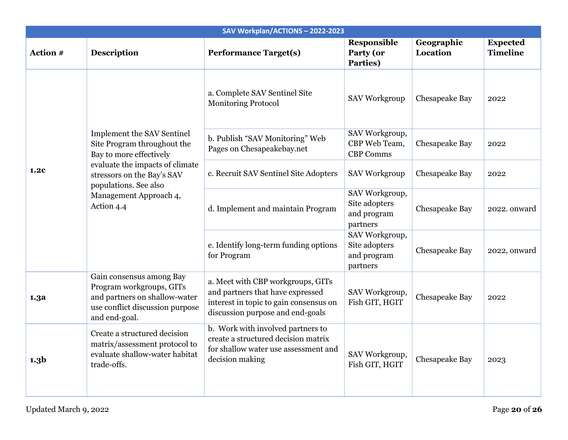|                  |                                                                                                                                           | SAV Workplan/ACTIONS-2022-2023                                                                                                                      |                                                            |                        |                                    |
|------------------|-------------------------------------------------------------------------------------------------------------------------------------------|-----------------------------------------------------------------------------------------------------------------------------------------------------|------------------------------------------------------------|------------------------|------------------------------------|
| Action #         | <b>Description</b>                                                                                                                        | <b>Performance Target(s)</b>                                                                                                                        | Responsible<br>Party (or<br>Parties)                       | Geographic<br>Location | <b>Expected</b><br><b>Timeline</b> |
|                  |                                                                                                                                           | a. Complete SAV Sentinel Site<br><b>Monitoring Protocol</b>                                                                                         | <b>SAV Workgroup</b>                                       | Chesapeake Bay         | 2022                               |
|                  | Implement the SAV Sentinel<br>Site Program throughout the<br>Bay to more effectively                                                      | b. Publish "SAV Monitoring" Web<br>Pages on Chesapeakebay.net                                                                                       | SAV Workgroup,<br>CBP Web Team,<br><b>CBP Comms</b>        | Chesapeake Bay         | 2022                               |
| 1.2c             | evaluate the impacts of climate<br>stressors on the Bay's SAV<br>populations. See also                                                    | c. Recruit SAV Sentinel Site Adopters                                                                                                               | <b>SAV Workgroup</b>                                       | Chesapeake Bay         | 2022                               |
|                  | Management Approach 4,<br>Action 4.4                                                                                                      | d. Implement and maintain Program                                                                                                                   | SAV Workgroup,<br>Site adopters<br>and program<br>partners | Chesapeake Bay         | 2022. onward                       |
|                  |                                                                                                                                           | e. Identify long-term funding options<br>for Program                                                                                                | SAV Workgroup,<br>Site adopters<br>and program<br>partners | Chesapeake Bay         | 2022, onward                       |
| 1.3a             | Gain consensus among Bay<br>Program workgroups, GITs<br>and partners on shallow-water<br>use conflict discussion purpose<br>and end-goal. | a. Meet with CBP workgroups, GITs<br>and partners that have expressed<br>interest in topic to gain consensus on<br>discussion purpose and end-goals | SAV Workgroup,<br>Fish GIT, HGIT                           | Chesapeake Bay         | 2022                               |
| 1.3 <sub>b</sub> | Create a structured decision<br>matrix/assessment protocol to<br>evaluate shallow-water habitat<br>trade-offs.                            | b. Work with involved partners to<br>create a structured decision matrix<br>for shallow water use assessment and<br>decision making                 | SAV Workgroup,<br>Fish GIT, HGIT                           | Chesapeake Bay         | 2023                               |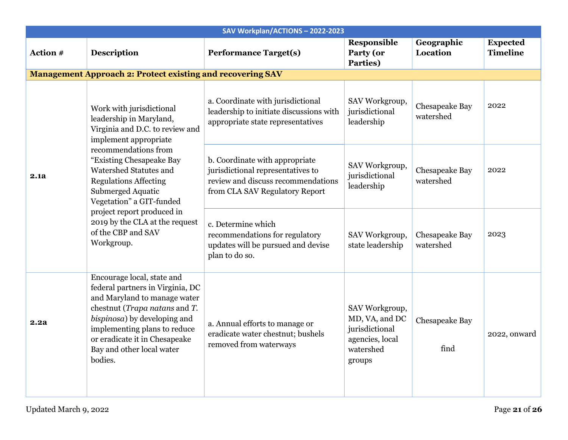|          |                                                                                                                                                                                                                                                                          | SAV Workplan/ACTIONS-2022-2023                                                                                                              |                                                                                              |                             |                                    |
|----------|--------------------------------------------------------------------------------------------------------------------------------------------------------------------------------------------------------------------------------------------------------------------------|---------------------------------------------------------------------------------------------------------------------------------------------|----------------------------------------------------------------------------------------------|-----------------------------|------------------------------------|
| Action # | <b>Description</b>                                                                                                                                                                                                                                                       | <b>Performance Target(s)</b>                                                                                                                | <b>Responsible</b><br>Party (or<br>Parties)                                                  | Geographic<br>Location      | <b>Expected</b><br><b>Timeline</b> |
|          | <b>Management Approach 2: Protect existing and recovering SAV</b>                                                                                                                                                                                                        |                                                                                                                                             |                                                                                              |                             |                                    |
|          | Work with jurisdictional<br>leadership in Maryland,<br>Virginia and D.C. to review and<br>implement appropriate                                                                                                                                                          | a. Coordinate with jurisdictional<br>leadership to initiate discussions with<br>appropriate state representatives                           | SAV Workgroup,<br>jurisdictional<br>leadership                                               | Chesapeake Bay<br>watershed | 2022                               |
| 2.1a     | recommendations from<br>"Existing Chesapeake Bay<br>Watershed Statutes and<br><b>Regulations Affecting</b><br>Submerged Aquatic<br>Vegetation" a GIT-funded<br>project report produced in<br>2019 by the CLA at the request<br>of the CBP and SAV<br>Workgroup.          | b. Coordinate with appropriate<br>jurisdictional representatives to<br>review and discuss recommendations<br>from CLA SAV Regulatory Report | SAV Workgroup,<br>jurisdictional<br>leadership                                               | Chesapeake Bay<br>watershed | 2022                               |
|          |                                                                                                                                                                                                                                                                          | c. Determine which<br>recommendations for regulatory<br>updates will be pursued and devise<br>plan to do so.                                | SAV Workgroup,<br>state leadership                                                           | Chesapeake Bay<br>watershed | 2023                               |
| 2.2a     | Encourage local, state and<br>federal partners in Virginia, DC<br>and Maryland to manage water<br>chestnut (Trapa natans and T.<br>bispinosa) by developing and<br>implementing plans to reduce<br>or eradicate it in Chesapeake<br>Bay and other local water<br>bodies. | a. Annual efforts to manage or<br>eradicate water chestnut; bushels<br>removed from waterways                                               | SAV Workgroup,<br>MD, VA, and DC<br>jurisdictional<br>agencies, local<br>watershed<br>groups | Chesapeake Bay<br>find      | 2022, onward                       |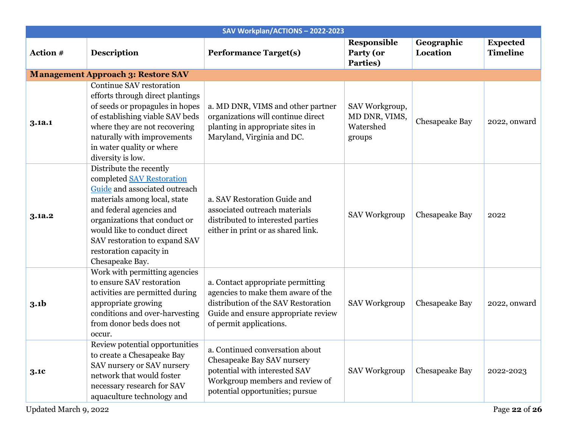|                  |                                                                                                                                                                                                                                                                                                   | SAV Workplan/ACTIONS-2022-2023                                                                                                                                                   |                                                        |                        |                                    |
|------------------|---------------------------------------------------------------------------------------------------------------------------------------------------------------------------------------------------------------------------------------------------------------------------------------------------|----------------------------------------------------------------------------------------------------------------------------------------------------------------------------------|--------------------------------------------------------|------------------------|------------------------------------|
| Action #         | <b>Description</b>                                                                                                                                                                                                                                                                                | <b>Performance Target(s)</b>                                                                                                                                                     | Responsible<br>Party (or<br>Parties)                   | Geographic<br>Location | <b>Expected</b><br><b>Timeline</b> |
|                  | <b>Management Approach 3: Restore SAV</b>                                                                                                                                                                                                                                                         |                                                                                                                                                                                  |                                                        |                        |                                    |
| 3.1a.1           | Continue SAV restoration<br>efforts through direct plantings<br>of seeds or propagules in hopes<br>of establishing viable SAV beds<br>where they are not recovering<br>naturally with improvements<br>in water quality or where<br>diversity is low.                                              | a. MD DNR, VIMS and other partner<br>organizations will continue direct<br>planting in appropriate sites in<br>Maryland, Virginia and DC.                                        | SAV Workgroup,<br>MD DNR, VIMS,<br>Watershed<br>groups | Chesapeake Bay         | 2022, onward                       |
| 3.1a.2           | Distribute the recently<br>completed SAV Restoration<br>Guide and associated outreach<br>materials among local, state<br>and federal agencies and<br>organizations that conduct or<br>would like to conduct direct<br>SAV restoration to expand SAV<br>restoration capacity in<br>Chesapeake Bay. | a. SAV Restoration Guide and<br>associated outreach materials<br>distributed to interested parties<br>either in print or as shared link.                                         | <b>SAV Workgroup</b>                                   | Chesapeake Bay         | 2022                               |
| 3.1 <sub>b</sub> | Work with permitting agencies<br>to ensure SAV restoration<br>activities are permitted during<br>appropriate growing<br>conditions and over-harvesting<br>from donor beds does not<br>occur.                                                                                                      | a. Contact appropriate permitting<br>agencies to make them aware of the<br>distribution of the SAV Restoration<br>Guide and ensure appropriate review<br>of permit applications. | <b>SAV Workgroup</b>                                   | Chesapeake Bay         | 2022, onward                       |
| 3.1c             | Review potential opportunities<br>to create a Chesapeake Bay<br>SAV nursery or SAV nursery<br>network that would foster<br>necessary research for SAV<br>aquaculture technology and                                                                                                               | a. Continued conversation about<br>Chesapeake Bay SAV nursery<br>potential with interested SAV<br>Workgroup members and review of<br>potential opportunities; pursue             | <b>SAV Workgroup</b>                                   | Chesapeake Bay         | 2022-2023                          |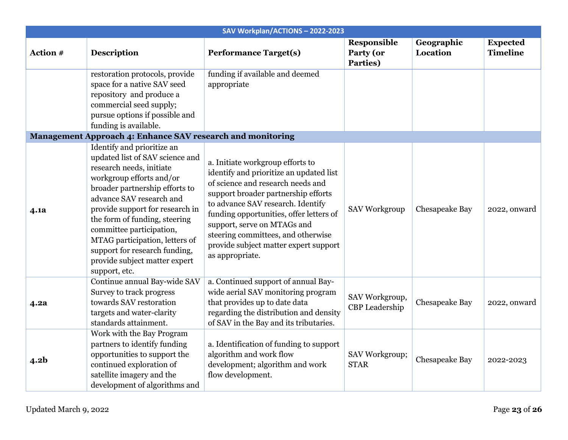| SAV Workplan/ACTIONS-2022-2023 |                                                                                                                                                                                                                                                                                                                                                                            |                                                                                                                                                                                                                                                                                                                                                                          |                                             |                        |                                    |  |
|--------------------------------|----------------------------------------------------------------------------------------------------------------------------------------------------------------------------------------------------------------------------------------------------------------------------------------------------------------------------------------------------------------------------|--------------------------------------------------------------------------------------------------------------------------------------------------------------------------------------------------------------------------------------------------------------------------------------------------------------------------------------------------------------------------|---------------------------------------------|------------------------|------------------------------------|--|
| Action #                       | <b>Description</b>                                                                                                                                                                                                                                                                                                                                                         | <b>Performance Target(s)</b>                                                                                                                                                                                                                                                                                                                                             | <b>Responsible</b><br>Party (or<br>Parties) | Geographic<br>Location | <b>Expected</b><br><b>Timeline</b> |  |
|                                | restoration protocols, provide<br>space for a native SAV seed<br>repository and produce a<br>commercial seed supply;<br>pursue options if possible and<br>funding is available.                                                                                                                                                                                            | funding if available and deemed<br>appropriate                                                                                                                                                                                                                                                                                                                           |                                             |                        |                                    |  |
|                                | Management Approach 4: Enhance SAV research and monitoring<br>Identify and prioritize an                                                                                                                                                                                                                                                                                   |                                                                                                                                                                                                                                                                                                                                                                          |                                             |                        |                                    |  |
| 4.1a                           | updated list of SAV science and<br>research needs, initiate<br>workgroup efforts and/or<br>broader partnership efforts to<br>advance SAV research and<br>provide support for research in<br>the form of funding, steering<br>committee participation,<br>MTAG participation, letters of<br>support for research funding,<br>provide subject matter expert<br>support, etc. | a. Initiate workgroup efforts to<br>identify and prioritize an updated list<br>of science and research needs and<br>support broader partnership efforts<br>to advance SAV research. Identify<br>funding opportunities, offer letters of<br>support, serve on MTAGs and<br>steering committees, and otherwise<br>provide subject matter expert support<br>as appropriate. | <b>SAV Workgroup</b>                        | Chesapeake Bay         | 2022, onward                       |  |
| 4.2a                           | Continue annual Bay-wide SAV<br>Survey to track progress<br>towards SAV restoration<br>targets and water-clarity<br>standards attainment.                                                                                                                                                                                                                                  | a. Continued support of annual Bay-<br>wide aerial SAV monitoring program<br>that provides up to date data<br>regarding the distribution and density<br>of SAV in the Bay and its tributaries.                                                                                                                                                                           | SAV Workgroup,<br>CBP Leadership            | Chesapeake Bay         | 2022, onward                       |  |
| 4.2 <sub>b</sub>               | Work with the Bay Program<br>partners to identify funding<br>opportunities to support the<br>continued exploration of<br>satellite imagery and the<br>development of algorithms and                                                                                                                                                                                        | a. Identification of funding to support<br>algorithm and work flow<br>development; algorithm and work<br>flow development.                                                                                                                                                                                                                                               | SAV Workgroup;<br><b>STAR</b>               | Chesapeake Bay         | 2022-2023                          |  |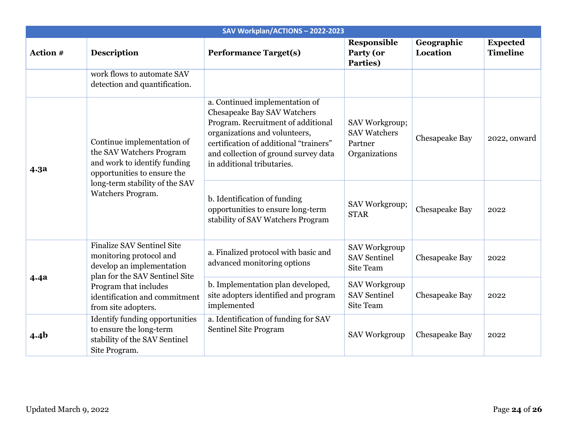| SAV Workplan/ACTIONS-2022-2023 |                                                                                                                                                                                                              |                                                                                                                                                                                                                                                      |                                                                   |                               |                                    |  |
|--------------------------------|--------------------------------------------------------------------------------------------------------------------------------------------------------------------------------------------------------------|------------------------------------------------------------------------------------------------------------------------------------------------------------------------------------------------------------------------------------------------------|-------------------------------------------------------------------|-------------------------------|------------------------------------|--|
| Action #                       | <b>Description</b>                                                                                                                                                                                           | <b>Performance Target(s)</b>                                                                                                                                                                                                                         | <b>Responsible</b><br>Party (or<br>Parties)                       | Geographic<br><b>Location</b> | <b>Expected</b><br><b>Timeline</b> |  |
|                                | work flows to automate SAV<br>detection and quantification.                                                                                                                                                  |                                                                                                                                                                                                                                                      |                                                                   |                               |                                    |  |
| 4.3a                           | Continue implementation of<br>the SAV Watchers Program<br>and work to identify funding<br>opportunities to ensure the<br>long-term stability of the SAV<br>Watchers Program.                                 | a. Continued implementation of<br>Chesapeake Bay SAV Watchers<br>Program. Recruitment of additional<br>organizations and volunteers,<br>certification of additional "trainers"<br>and collection of ground survey data<br>in additional tributaries. | SAV Workgroup;<br><b>SAV Watchers</b><br>Partner<br>Organizations | Chesapeake Bay                | 2022, onward                       |  |
|                                |                                                                                                                                                                                                              | b. Identification of funding<br>opportunities to ensure long-term<br>stability of SAV Watchers Program                                                                                                                                               | SAV Workgroup;<br><b>STAR</b>                                     | Chesapeake Bay                | 2022                               |  |
|                                | <b>Finalize SAV Sentinel Site</b><br>monitoring protocol and<br>develop an implementation<br>plan for the SAV Sentinel Site<br>Program that includes<br>identification and commitment<br>from site adopters. | a. Finalized protocol with basic and<br>advanced monitoring options                                                                                                                                                                                  | <b>SAV Workgroup</b><br><b>SAV Sentinel</b><br>Site Team          | Chesapeake Bay                | 2022                               |  |
| <b>4.4a</b>                    |                                                                                                                                                                                                              | b. Implementation plan developed,<br>site adopters identified and program<br>implemented                                                                                                                                                             | <b>SAV Workgroup</b><br><b>SAV Sentinel</b><br>Site Team          | Chesapeake Bay                | 2022                               |  |
| 4.4 <sub>b</sub>               | <b>Identify funding opportunities</b><br>to ensure the long-term<br>stability of the SAV Sentinel<br>Site Program.                                                                                           | a. Identification of funding for SAV<br>Sentinel Site Program                                                                                                                                                                                        | <b>SAV Workgroup</b>                                              | Chesapeake Bay                | 2022                               |  |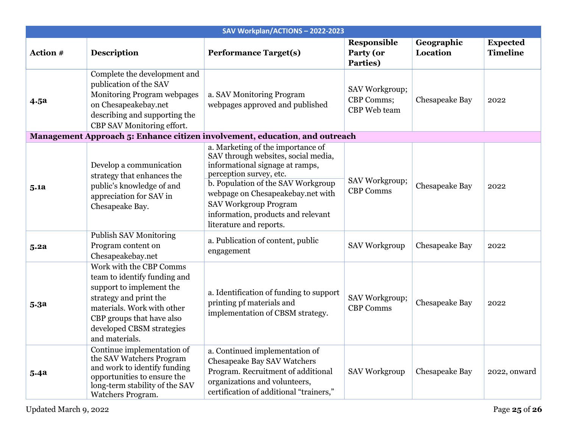| SAV Workplan/ACTIONS-2022-2023                                              |                                                                                                                                                                                                                         |                                                                                                                                                                                                                                                                                                                    |                                              |                        |                                    |  |  |  |  |
|-----------------------------------------------------------------------------|-------------------------------------------------------------------------------------------------------------------------------------------------------------------------------------------------------------------------|--------------------------------------------------------------------------------------------------------------------------------------------------------------------------------------------------------------------------------------------------------------------------------------------------------------------|----------------------------------------------|------------------------|------------------------------------|--|--|--|--|
| Action #                                                                    | <b>Description</b>                                                                                                                                                                                                      | <b>Performance Target(s)</b>                                                                                                                                                                                                                                                                                       | <b>Responsible</b><br>Party (or<br>Parties)  | Geographic<br>Location | <b>Expected</b><br><b>Timeline</b> |  |  |  |  |
| 4.5a                                                                        | Complete the development and<br>publication of the SAV<br>Monitoring Program webpages<br>on Chesapeakebay.net<br>describing and supporting the<br>CBP SAV Monitoring effort.                                            | a. SAV Monitoring Program<br>webpages approved and published                                                                                                                                                                                                                                                       | SAV Workgroup;<br>CBP Comms;<br>CBP Web team | Chesapeake Bay         | 2022                               |  |  |  |  |
| Management Approach 5: Enhance citizen involvement, education, and outreach |                                                                                                                                                                                                                         |                                                                                                                                                                                                                                                                                                                    |                                              |                        |                                    |  |  |  |  |
| 5.1a                                                                        | Develop a communication<br>strategy that enhances the<br>public's knowledge of and<br>appreciation for SAV in<br>Chesapeake Bay.                                                                                        | a. Marketing of the importance of<br>SAV through websites, social media,<br>informational signage at ramps,<br>perception survey, etc.<br>b. Population of the SAV Workgroup<br>webpage on Chesapeakebay.net with<br><b>SAV Workgroup Program</b><br>information, products and relevant<br>literature and reports. | SAV Workgroup;<br><b>CBP Comms</b>           | Chesapeake Bay         | 2022                               |  |  |  |  |
| 5.2a                                                                        | <b>Publish SAV Monitoring</b><br>Program content on<br>Chesapeakebay.net                                                                                                                                                | a. Publication of content, public<br>engagement                                                                                                                                                                                                                                                                    | <b>SAV Workgroup</b>                         | Chesapeake Bay         | 2022                               |  |  |  |  |
| 5.3a                                                                        | Work with the CBP Comms<br>team to identify funding and<br>support to implement the<br>strategy and print the<br>materials. Work with other<br>CBP groups that have also<br>developed CBSM strategies<br>and materials. | a. Identification of funding to support<br>printing pf materials and<br>implementation of CBSM strategy.                                                                                                                                                                                                           | SAV Workgroup;<br><b>CBP Comms</b>           | Chesapeake Bay         | 2022                               |  |  |  |  |
| 5.4a                                                                        | Continue implementation of<br>the SAV Watchers Program<br>and work to identify funding<br>opportunities to ensure the<br>long-term stability of the SAV<br>Watchers Program.                                            | a. Continued implementation of<br>Chesapeake Bay SAV Watchers<br>Program. Recruitment of additional<br>organizations and volunteers,<br>certification of additional "trainers,"                                                                                                                                    | <b>SAV Workgroup</b>                         | Chesapeake Bay         | 2022, onward                       |  |  |  |  |